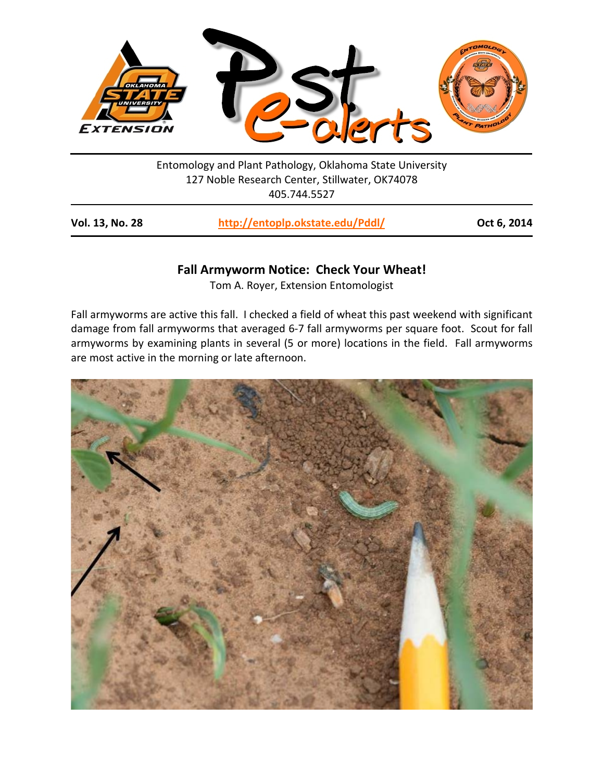

Entomology and Plant Pathology, Oklahoma State University 127 Noble Research Center, Stillwater, OK74078 405.744.5527

| <b>Vol. 13, No. 28</b> | http://entoplp.okstate.edu/Pddl/ | Oct 6, 2014 |
|------------------------|----------------------------------|-------------|
|------------------------|----------------------------------|-------------|

## **Fall Armyworm Notice: Check Your Wheat!**

Tom A. Royer, Extension Entomologist

Fall armyworms are active this fall. I checked a field of wheat this past weekend with significant damage from fall armyworms that averaged 6-7 fall armyworms per square foot. Scout for fall armyworms by examining plants in several (5 or more) locations in the field. Fall armyworms are most active in the morning or late afternoon.